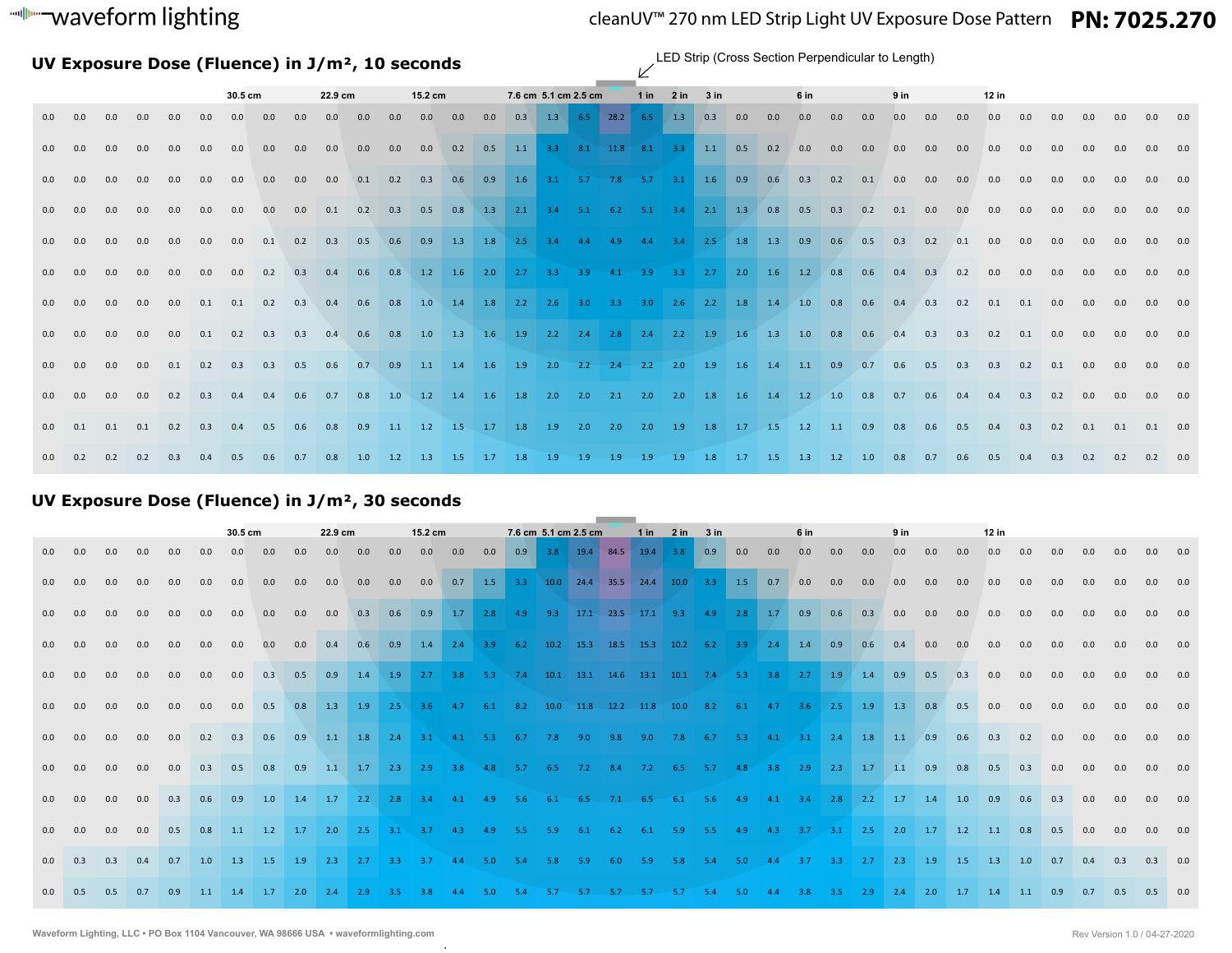# waveform lighting

# cleanUV™ 270 nm LED Strip Light UV Exposure Dose Pattern **PN: 7025.270**

**UV Exposure Dose (Fluence) in J/m², 10 seconds**

LED Strip (Cross Section Perpendicular to Length)

|     |         |     |     |     |     | 30.5 cm           |                         |     | 22.9 cm   |     |           | 15.2 cm |     |     | 7.6 cm 5.1 cm 2.5 cm |     |     |                        | $1$ in | $2$ in                                                                                  | 3 in |     |     | 6 in |     |     | 9 <sub>in</sub> |     |     | $12$ in |     |     |     |     |                 |     |
|-----|---------|-----|-----|-----|-----|-------------------|-------------------------|-----|-----------|-----|-----------|---------|-----|-----|----------------------|-----|-----|------------------------|--------|-----------------------------------------------------------------------------------------|------|-----|-----|------|-----|-----|-----------------|-----|-----|---------|-----|-----|-----|-----|-----------------|-----|
| 0.0 | 0.0     | 0.0 | 0.0 | 0.0 | 0.0 | 0.0               | 0.0                     | 0.0 | 0.0       | 0.0 | 0.0       | 0.0     | 0.0 | 0.0 |                      |     |     | $0.3$ 1.3 6.5 28.2 6.5 |        | 1.3                                                                                     | 0.3  | 0.0 | 0.0 | 0.0  | 0.0 | 0.0 | 0.0             | 0.0 | 0.0 | 0.0     | 0.0 | 0.0 | 0.0 | 0.0 | 0.0             | 0.0 |
| 0.0 | 0.0     | 0.0 | 0.0 | 0.0 | 0.0 | 0.0               | 0.0                     | 0.0 | 0.0       | 0.0 | 0.0       | 0.0     | 0.2 | 0.5 |                      |     |     |                        |        | 1.1 3.3 8.1 11.8 8.1 3.3 1.1 0.5 0.2                                                    |      |     |     | 0.0  | 0.0 | 0.0 | 0.0             | 0.0 | 0.0 | 0.0     | 0.0 | 0.0 | 0.0 | 0.0 | 0.0             | 0.0 |
| 0.0 | 0.0     | 0.0 | 0.0 | 0.0 | 0.0 | 0.0               | 0.0                     | 0.0 | 0.0       | 0.1 | 0.2       | 0.3     | 0.6 | 0.9 |                      |     |     |                        |        | 1.6 3.1 5.7 7.8 5.7 3.1 1.6 0.9                                                         |      |     | 0.6 | 0.3  | 0.2 | 0.1 | 0.0             | 0.0 | 0.0 | 0.0     | 0.0 | 0.0 | 0.0 | 0.0 | 0.0             | 0.0 |
| 0.0 | 0.0     | 0.0 | 0.0 | 0.0 | 0.0 | 0.0               | 0.0                     | 0.0 | 0.1       | 0.2 | 0.3       | 0.5     | 0.8 |     |                      |     |     |                        |        | 1.3 2.1 3.4 5.1 6.2 5.1 3.4 2.1 1.3 0.8                                                 |      |     |     | 0.5  | 0.3 | 0.2 | 0.1             | 0.0 | 0.0 | 0.0     | 0.0 | 0.0 | 0.0 |     |                 | 0.0 |
| 0.0 | 0.0     | 0.0 | 0.0 | 0.0 | 0.0 | 0.0               | 0.1                     | 0.2 | 0.3       | 0.5 | 0.6       | 0.9     |     |     |                      |     |     |                        |        | 1.3 1.8 2.5 3.4 4.4 4.9 4.4 3.4 2.5 1.8 1.3 0.9                                         |      |     |     |      | 0.6 | 0.5 | 0.3             | 0.2 | 0.1 | 0.0     | 0.0 | 0.0 | 0.0 | 0.0 | 0.0             | 0.0 |
| 0.0 | 0.0     | 0.0 | 0.0 | 0.0 | 0.0 | 0.0               | 0.2                     | 0.3 | 0.4       | 0.6 | 0.8       |         |     |     |                      |     |     |                        |        | 1.2 1.6 2.0 2.7 3.3 3.9 4.1 3.9 3.3 2.7 2.0 1.6 1.2 0.8                                 |      |     |     |      |     | 0.6 | 0.4             | 0.3 | 0.2 | 0.0     | 0.0 | 0.0 | 0.0 | 0.0 | 0.0             | 0.0 |
| 0.0 | 0.0     | 0.0 | 0.0 | 0.0 | 0.1 | 0.1               | 0.2                     | 0.3 | 0.4       | 0.6 | 0.8       | 1.0     |     |     |                      |     |     |                        |        | 1.4 1.8 2.2 2.6 3.0 3.3 3.0 2.6 2.2 1.8 1.4 1.0 0.8                                     |      |     |     |      |     | 0.6 | 0.4             | 0.3 | 0.2 | 0.1     | 0.1 | 0.0 | 0.0 | 0.0 | 0.0             | 0.0 |
| 0.0 | 0.0     | 0.0 | 0.0 |     |     |                   | $0.0$ $0.1$ $0.2$ $0.3$ |     | $0.3$ 0.4 |     |           |         |     |     |                      |     |     |                        |        | 0.6 0.8 1.0 1.3 1.6 1.9 2.2 2.4 2.8 2.4 2.2 1.9 1.6 1.3 1.0 0.8 0.6                     |      |     |     |      |     |     | 0.4             | 0.3 | 0.3 | 0.2     | 0.1 | 0.0 | 0.0 | 0.0 | 0.0 0.0         |     |
| 0.0 | 0.0     | 0.0 | 0.0 |     |     | $0.1$ 0.2 0.3 0.3 |                         |     |           |     |           |         |     |     |                      |     |     |                        |        | 0.5 0.6 0.7 0.9 1.1 1.4 1.6 1.9 2.0 2.2 2.4 2.2 2.0 1.9 1.6 1.4 1.1 0.9 0.7 0.6 0.5 0.3 |      |     |     |      |     |     |                 |     |     | 0.3     | 0.2 | 0.1 | 0.0 | 0.0 | 0.0 0.0         |     |
| 0.0 | 0.0     | 0.0 | 0.0 | 0.2 | 0.3 |                   | $0.4$ 0.4               |     |           |     |           |         |     |     |                      |     |     |                        |        | 0.6 0.7 0.8 1.0 1.2 1.4 1.6 1.8 2.0 2.0 2.1 2.0 2.0 1.8 1.6 1.4 1.2 1.0 0.8 0.7 0.6     |      |     |     |      |     |     |                 |     | 0.4 | 0.4     | 0.3 | 0.2 | 0.0 | 0.0 | $0.0\qquad 0.0$ |     |
|     | 0.0 0.1 | 0.1 | 0.1 | 0.2 | 0.3 | 0.4               | 0.5                     | 0.6 | 0.8       |     |           |         |     |     |                      |     |     |                        |        | 0.9 1.1 1.2 1.5 1.7 1.8 1.9 2.0 2.0 2.0 1.9 1.8 1.7 1.5 1.2 1.1                         |      |     |     |      |     | 0.9 | 0.8             | 0.6 | 0.5 | 0.4     | 0.3 | 0.2 | 0.1 | 0.1 | 0.1 0.0         |     |
| 0.0 | 0.2     | 0.2 | 0.2 | 0.3 | 0.4 | 0.5               | 0.6                     | 0.7 | 0.8       | 1.0 | $1.2$ 1.3 |         | 1.5 | 1.7 | 1.8                  | 1.9 | 1.9 | 1.9                    | 1.9    | 1.9                                                                                     | 1.8  | 1.7 | 1.5 | 1.3  | 1.2 | 1.0 | 0.8             | 0.7 | 0.6 | 0.5     | 0.4 | 0.3 | 0.2 | 0.2 | 0.2             | 0.0 |

## **UV Exposure Dose (Fluence) in J/m², 30 seconds**

|     |     |     |     |     |     | 30.5 cm |                           |     | 22.9 cm |                               |     | 15.2 cm |     |     |     | 7.6 cm 5.1 cm 2.5 cm                                    |     |     |      | 1 in 2 in 3 in |     |                                                                                  |     | 6 in      |                         |           | 9 <sub>in</sub>     |     |           | 12 in |     |     |     |     |     |         |
|-----|-----|-----|-----|-----|-----|---------|---------------------------|-----|---------|-------------------------------|-----|---------|-----|-----|-----|---------------------------------------------------------|-----|-----|------|----------------|-----|----------------------------------------------------------------------------------|-----|-----------|-------------------------|-----------|---------------------|-----|-----------|-------|-----|-----|-----|-----|-----|---------|
| 0.0 | 0.0 | 0.0 | 0.0 | 0.0 | 0.0 | 0.0     | 0.0                       | 0.0 | 0.0     | 0.0                           | 0.0 | 0.0     | 0.0 | 0.0 |     | 0.9 3.8 19.4 84.5 19.4 3.8                              |     |     |      |                | 0.9 | 0.0                                                                              | 0.0 | 0.0       | 0.0                     | 0.0       | 0.0                 | 0.0 | 0.0       | 0.0   | 0.0 | 0.0 | 0.0 | 0.0 | 0.0 | 0.0     |
| 0.0 | 0.0 | 0.0 | 0.0 | 0.0 | 0.0 | 0.0     | 0.0                       | 0.0 | 0.0     | 0.0                           | 0.0 | 0.0     |     |     |     |                                                         |     |     |      |                |     | 0.7 1.5 3.3 10.0 24.4 35.5 24.4 10.0 3.3 1.5 0.7                                 |     | 0.0       | 0.0                     | 0.0       | 0.0                 | 0.0 | 0.0       | 0.0   | 0.0 | 0.0 | 0.0 | 0.0 | 0.0 | 0.0     |
| 0.0 | 0.0 | 0.0 | 0.0 | 0.0 | 0.0 | 0.0     | 0.0                       | 0.0 | 0.0     | 0.3                           | 0.6 |         |     |     |     |                                                         |     |     |      |                |     | 0.9 1.7 2.8 4.9 9.3 17.1 23.5 17.1 9.3 4.9 2.8 1.7                               |     | 0.9       | 0.6                     | 0.3       | 0.0                 | 0.0 | 0.0       | 0.0   | 0.0 | 0.0 | 0.0 | 0.0 |     | 0.0 0.0 |
| 0.0 | 0.0 | 0.0 | 0.0 | 0.0 | 0.0 | 0.0     | 0.0                       | 0.0 |         |                               |     |         |     |     |     |                                                         |     |     |      |                |     | 0.4 0.6 0.9 1.4 2.4 3.9 6.2 10.2 15.3 18.5 15.3 10.2 6.2 3.9 2.4 1.4 0.9 0.6     |     |           |                         |           | 0.4                 | 0.0 | 0.0       | 0.0   | 0.0 | 0.0 | 0.0 | 0.0 |     | 0.0 0.0 |
| 0.0 | 0.0 | 0.0 | 0.0 | 0.0 | 0.0 | 0.0     | 0.3                       | 0.5 |         |                               |     |         |     |     |     |                                                         |     |     |      |                |     | 0.9 1.4 1.9 2.7 3.8 5.3 7.4 10.1 13.1 14.6 13.1 10.1 7.4 5.3 3.8 2.7 1.9 1.4 0.9 |     |           |                         |           |                     | 0.5 | 0.3       | 0.0   | 0.0 | 0.0 | 0.0 | 0.0 |     | 0.0 0.0 |
| 0.0 | 0.0 | 0.0 | 0.0 | 0.0 | 0.0 | 0.0     | 0.5                       | 0.8 |         |                               |     |         |     |     |     |                                                         |     |     |      |                |     | 1.3 1.9 2.5 3.6 4.7 6.1 8.2 10.0 11.8 12.2 11.8 10.0 8.2 6.1 4.7 3.6 2.5 1.9     |     |           |                         |           | $\vert$ 1.3 $\vert$ | 0.8 | 0.5       | 0.0   | 0.0 | 0.0 | 0.0 | 0.0 |     | 0.0 0.0 |
| 0.0 | 0.0 | 0.0 | 0.0 | 0.0 | 0.2 | 0.3     | 0.6                       | 0.9 |         |                               |     |         |     |     |     |                                                         |     |     |      |                |     | 1.1 1.8 2.4 3.1 4.1 5.3 6.7 7.8 9.0 9.8 9.0 7.8 6.7 5.3 4.1 3.1 2.4 1.8 1.1      |     |           |                         |           |                     | 0.9 | 0.6       | 0.3   | 0.2 | 0.0 | 0.0 | 0.0 |     | 0.0 0.0 |
| 0.0 | 0.0 | 0.0 | 0.0 | 0.0 | 0.3 | 0.5     | 0.8                       | 0.9 |         |                               |     |         |     |     |     |                                                         |     |     |      |                |     | 1.1 1.7 2.3 2.9 3.8 4.8 5.7 6.5 7.2 8.4 7.2 6.5 5.7 4.8 3.8                      |     |           | $2.9$ 2.3 1.7 1.1       |           |                     | 0.9 | 0.8       | 0.5   | 0.3 | 0.0 | 0.0 | 0.0 | 0.0 | 0.0     |
| 0.0 | 0.0 | 0.0 | 0.0 | 0.3 | 0.6 | 0.9     | 1.0                       | 1.4 |         |                               |     |         |     |     |     | 1.7 2.2 2.8 3.4 4.1 4.9 5.6 6.1 6.5 7.1 6.5 6.1 5.6 4.9 |     |     |      |                |     |                                                                                  | 4.1 | $3.4$ 2.8 |                         | $2.2$ 1.7 |                     | 1.4 | 1.0       | 0.9   | 0.6 | 0.3 | 0.0 | 0.0 | 0.0 | 0.0     |
| 0.0 | 0.0 | 0.0 | 0.0 | 0.5 | 0.8 |         | $1.1 \quad 1.2 \quad 1.7$ |     |         |                               |     |         |     |     |     | 2.0 2.5 3.1 3.7 4.3 4.9 5.5 5.9 6.1 6.2 6.1 5.9 5.5 4.9 |     |     |      |                |     |                                                                                  | 4.3 |           | $3.7$ $3.1$ $2.5$ $2.0$ |           |                     | 1.7 | $1.2$ 1.1 |       | 0.8 | 0.5 | 0.0 | 0.0 |     | 0.0 0.0 |
| 0.0 | 0.3 | 0.3 | 0.4 | 0.7 | 1.0 | 1.3     | 1.5                       | 1.9 | 2.3     | $2.7$ 3.3 3.7 4.4 5.0 5.4 5.8 |     |         |     |     |     |                                                         | 5.9 | 6.0 | 5.9  | 5.8            | 5.4 | 5.0                                                                              | 4.4 | $-3.7$    | 3.3                     | 2.7       | 2.3                 | 1.9 | 1.5       | 1.3   | 1.0 | 0.7 | 0.4 | 0.3 | 0.3 | 0.0     |
| 0.0 | 0.5 | 0.5 | 0.7 | 0.9 | 1.1 | 1.4     | 1.7                       | 2.0 | 2.4     | 2.9                           | 3.5 | 3.8     | 4.4 | 5.0 | 5.4 | 5.7                                                     | 5.7 | 5.7 | -5.7 | 5.7            | 5.4 | 5.0                                                                              | 4.4 |           | $-3.5$                  |           | 2.4                 | 2.0 | 1.7       | 1.4   | 1.1 | 0.9 | 0.7 | 0.5 | 0.5 | 0.0     |

.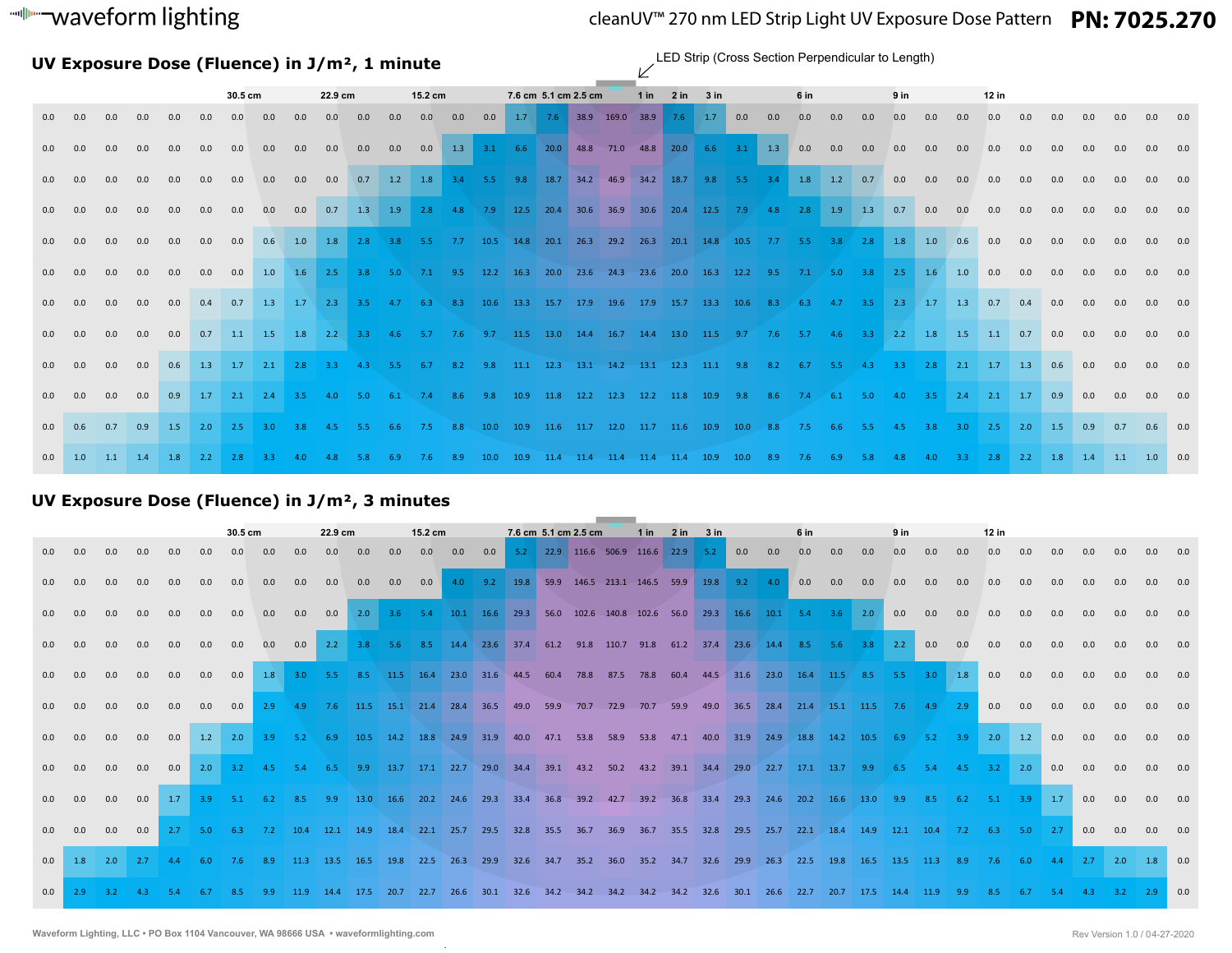# waveform lighting

# cleanUV™ 270 nm LED Strip Light UV Exposure Dose Pattern **PN: 7025.270**

**UV Exposure Dose (Fluence) in J/m², 1 minute**

LED Strip (Cross Section Perpendicular to Length)

|     |     |           |     |           |     | 30.5 cm |                                                                                                                                |     | 22.9 cm           |     |                                                                          | 15.2 cm |     |      | 7.6 cm 5.1 cm 2.5 cm |  | $1$ in | $2 \text{ in}$ $3 \text{ in}$                                                                     |  |     | 6 in |     |     | 9 <sub>in</sub> |     |        | 12 in |     |              |                 |     |               |         |
|-----|-----|-----------|-----|-----------|-----|---------|--------------------------------------------------------------------------------------------------------------------------------|-----|-------------------|-----|--------------------------------------------------------------------------|---------|-----|------|----------------------|--|--------|---------------------------------------------------------------------------------------------------|--|-----|------|-----|-----|-----------------|-----|--------|-------|-----|--------------|-----------------|-----|---------------|---------|
| 0.0 | 0.0 | 0.0       | 0.0 | 0.0       | 0.0 | 0.0     | 0.0                                                                                                                            | 0.0 | 0.0               | 0.0 | 0.0                                                                      | 0.0     | 0.0 | 0.0  |                      |  |        | 1.7 7.6 38.9 169.0 38.9 7.6 1.7 0.0                                                               |  | 0.0 | 0.0  | 0.0 | 0.0 | 0.0             | 0.0 | 0.0    | 0.0   | 0.0 | 0.0          | 0.0             | 0.0 | 0.0           | 0.0     |
| 0.0 | 0.0 | 0.0       | 0.0 | 0.0       | 0.0 | 0.0     | 0.0                                                                                                                            | 0.0 | 0.0               | 0.0 | 0.0                                                                      | 0.0     |     |      |                      |  |        | 1.3 3.1 6.6 20.0 48.8 71.0 48.8 20.0 6.6 3.1 1.3 0.0 0.0                                          |  |     |      |     | 0.0 | 0.0             | 0.0 | 0.0    | 0.0   | 0.0 | 0.0          | 0.0             | 0.0 |               | 0.0     |
| 0.0 | 0.0 | 0.0       | 0.0 | 0.0       | 0.0 | 0.0     | 0.0                                                                                                                            | 0.0 | 0.0               |     | 0.7 1.2 1.8 3.4 5.5 9.8 18.7 34.2 46.9 34.2 18.7 9.8 5.5 3.4 1.8 1.2 0.7 |         |     |      |                      |  |        |                                                                                                   |  |     |      |     |     | 0.0             | 0.0 | 0.0    | 0.0   | 0.0 | 0.0          | 0.0             | 0.0 |               | 0.0 0.0 |
| 0.0 | 0.0 | 0.0       | 0.0 | 0.0       | 0.0 | 0.0     | 0.0                                                                                                                            | 0.0 |                   |     | 0.7 1.3 1.9 2.8 4.8                                                      |         |     |      |                      |  |        | 7.9 12.5 20.4 30.6 36.9 30.6 20.4 12.5 7.9 4.8 2.8 1.9 1.3                                        |  |     |      |     |     | 0.7             | 0.0 | 0.0    | 0.0   | 0.0 | 0.0          | 0.0             | 0.0 |               | 0.0     |
| 0.0 | 0.0 | 0.0       | 0.0 | 0.0       | 0.0 | 0.0     | 0.6                                                                                                                            | 1.0 | $1.8$ 2.8         |     | 3.8                                                                      | 5.5     |     |      |                      |  |        | 7.7 10.5 14.8 20.1 26.3 29.2 26.3 20.1 14.8 10.5 7.7 5.5 3.8 2.8 1.8 1.0                          |  |     |      |     |     |                 |     | 0.6    | 0.0   | 0.0 | 0.0          | 0.0             |     |               | 0.0     |
| 0.0 | 0.0 | 0.0       | 0.0 | 0.0       | 0.0 | 0.0     | 1.0                                                                                                                            |     | $1.6$ $2.5$ $3.8$ |     | 5.0                                                                      |         |     |      |                      |  |        | 7.1  9.5  12.2  16.3  20.0  23.6  24.3  23.6  20.0  16.3  12.2  9.5  7.1  5.0  3.8  2.5  1.6  1.0 |  |     |      |     |     |                 |     |        | 0.0   | 0.0 | 0.0          | 0.0             |     |               | 0.0     |
| 0.0 | 0.0 | 0.0       | 0.0 | 0.0       |     |         | 0.4 0.7 1.3 1.7 2.3 3.5 4.7 6.3 8.3 10.6 13.3 15.7 17.9 19.6 17.9 15.7 13.3 10.6 8.3 6.3 4.7 3.5 2.3 1.7 1.3                   |     |                   |     |                                                                          |         |     |      |                      |  |        |                                                                                                   |  |     |      |     |     |                 |     |        | 0.7   | 0.4 | 0.0          | 0.0             | 0.0 | 0.0 0.0       |         |
| 0.0 | 0.0 | 0.0       | 0.0 | 0.0       |     |         | 0.7 1.1 1.5 1.8 2.2 3.3 4.6 5.7 7.6 9.7 11.5 13.0 14.4 16.7 14.4 13.0 11.5 9.7 7.6 5.7 4.6 3.3 2.2 1.8 1.5 1.1 0.7             |     |                   |     |                                                                          |         |     |      |                      |  |        |                                                                                                   |  |     |      |     |     |                 |     |        |       |     | 0.0 0.0      |                 | 0.0 | 0.0 0.0       |         |
| 0.0 | 0.0 | 0.0       | 0.0 |           |     |         | 0.6 1.3 1.7 2.1 2.8 3.3 4.3 5.5 6.7 8.2 9.8 11.1 12.3 13.1 14.2 13.1 12.3 11.1 9.8 8.2 6.7 5.5 4.3 3.3 2.8 2.1 1.7 1.3 0.6 0.0 |     |                   |     |                                                                          |         |     |      |                      |  |        |                                                                                                   |  |     |      |     |     |                 |     |        |       |     |              |                 | 0.0 | 0.0 0.0       |         |
| 0.0 | 0.0 | 0.0       | 0.0 |           |     |         | 0.9 1.7 2.1 2.4 3.5 4.0 5.0 6.1 7.4 8.6 9.8 10.9 11.8 12.2 12.3 12.2 11.8 10.9 9.8 8.6 7.4 6.1 5.0 4.0 3.5 2.4 2.1 1.7 0.9     |     |                   |     |                                                                          |         |     |      |                      |  |        |                                                                                                   |  |     |      |     |     |                 |     |        |       |     |              | 0.0             | 0.0 |               | 0.0 0.0 |
| 0.0 | 0.6 | 0.7       |     |           |     |         | 0.9 1.5 2.0 2.5 3.0 3.8 4.5 5.5 6.6 7.5 8.8 10.0 10.9 11.6 11.7 12.0 11.7 11.6 10.9 10.0 8.8 7.5 6.6 5.5 4.5 3.8 3.0 2.5       |     |                   |     |                                                                          |         |     |      |                      |  |        |                                                                                                   |  |     |      |     |     |                 |     |        |       |     | $2.0 \t 1.5$ | 0.9             |     | $0.7$ 0.6 0.0 |         |
| 0.0 | 1.0 | $1.1$ 1.4 |     | $1.8$ 2.2 |     | 2.8     | $-3.3$                                                                                                                         | 4.0 | 4.8               | 5.8 | 6.9                                                                      | 7.6     | 8.9 | 10.0 |                      |  |        | 10.9 11.4 11.4 11.4 11.4 11.4 10.9 10.0 8.9                                                       |  |     | 7.6  | 6.9 | 5.8 | 4.8             | 4.0 | $-3.3$ | 2.8   | 2.2 | 1.8          | 1.4 1.1 1.0 0.0 |     |               |         |

## **UV Exposure Dose (Fluence) in J/m², 3 minutes**

|     |     |     |              |     |           | 30.5 cm           | 22.9 cm |                 |             |                                                                                                            | $15.2 \text{ cm}$ |     |         |     | 7.6 cm 5.1 cm 2.5 cm | $1 in$ $2 in$ $3 in$                                             |  |  |         | 6 in |      |      | 9 <sub>in</sub> |                           |             | $12$ in |                 |     |                   |                             |     |           |         |
|-----|-----|-----|--------------|-----|-----------|-------------------|---------|-----------------|-------------|------------------------------------------------------------------------------------------------------------|-------------------|-----|---------|-----|----------------------|------------------------------------------------------------------|--|--|---------|------|------|------|-----------------|---------------------------|-------------|---------|-----------------|-----|-------------------|-----------------------------|-----|-----------|---------|
| 0.0 | 0.0 | 0.0 | 0.0          | 0.0 | 0.0       | 0.0               | 0.0     | 0.0             | 0.0         | 0.0                                                                                                        | 0.0               |     | 0.0 0.0 | 0.0 |                      | 5.2 22.9 116.6 506.9 116.6 22.9 5.2                              |  |  | 0.0 0.0 |      | 0.0  | 0.0  | 0.0             | 0.0                       | 0.0         | 0.0     | 0.0             | 0.0 | 0.0               | 0.0                         | 0.0 |           | 0.0 0.0 |
| 0.0 | 0.0 | 0.0 | 0.0          | 0.0 | 0.0       | 0.0               | 0.0     | 0.0             | 0.0         | 0.0                                                                                                        | 0.0               | 0.0 |         |     |                      | 4.0 9.2 19.8 59.9 146.5 213.1 146.5 59.9 19.8 9.2 4.0 0.0 0.0    |  |  |         |      |      |      | 0.0             | 0.0                       | 0.0         | 0.0     | 0.0             | 0.0 | 0.0               | 0.0                         | 0.0 |           | 0.0 0.0 |
| 0.0 | 0.0 | 0.0 | 0.0          | 0.0 | 0.0       | 0.0               | 0.0     |                 |             | 0.0 0.0 2.0 3.6 5.4 10.1 16.6 29.3 56.0 102.6 140.8 102.6 56.0 29.3 16.6 10.1 5.4 3.6 2.0                  |                   |     |         |     |                      |                                                                  |  |  |         |      |      |      |                 | 0.0                       | 0.0         | 0.0     | 0.0             | 0.0 | 0.0               | 0.0                         | 0.0 | 0.0 0.0   |         |
| 0.0 | 0.0 | 0.0 | 0.0          | 0.0 | 0.0       | 0.0               |         |                 |             | 0.0 0.0 2.2 3.8 5.6 8.5 14.4 23.6 37.4 61.2 91.8 110.7 91.8 61.2 37.4 23.6 14.4 8.5 5.6 3.8 2.2            |                   |     |         |     |                      |                                                                  |  |  |         |      |      |      |                 |                           | 0.0         | 0.0     | 0.0             | 0.0 | 0.0               | 0.0                         | 0.0 | 0.0 0.0   |         |
| 0.0 | 0.0 | 0.0 | 0.0          | 0.0 |           | 0.0 0.0           |         |                 |             | 1.8 3.0 5.5 8.5 11.5 16.4 23.0 31.6 44.5 60.4 78.8 87.5 78.8 60.4 44.5 31.6 23.0 16.4 11.5 8.5 5.5 3.0 1.8 |                   |     |         |     |                      |                                                                  |  |  |         |      |      |      |                 |                           |             |         | 0.0 0.0         |     | 0.0               | 0.0                         | 0.0 | 0.0 0.0   |         |
| 0.0 | 0.0 | 0.0 | 0.0          | 0.0 | 0.0       | 0.0               | 2.9     | 4.9             |             | 7.6 11.5 15.1 21.4 28.4 36.5 49.0 59.9 70.7 72.9 70.7 59.9 49.0 36.5                                       |                   |     |         |     |                      |                                                                  |  |  |         | 28.4 | 21.4 |      |                 | 15.1 11.5 7.6 4.9 2.9     |             |         | 0.0             | 0.0 | 0.0               | 0.0                         | 0.0 |           | 0.0 0.0 |
| 0.0 | 0.0 | 0.0 | 0.0          | 0.0 |           | $1.2$ $2.0$ $3.9$ |         | $5.2\qquad 6.9$ |             | 10.5 14.2 18.8 24.9 31.9 40.0 47.1 53.8 58.9 53.8 47.1 40.0 31.9 24.9                                      |                   |     |         |     |                      |                                                                  |  |  |         |      | 18.8 | 14.2 | 10.5            | 6.9                       | $5.2$ $3.9$ |         |                 |     | $2.0$ 1.2 0.0 0.0 |                             | 0.0 | 0.0 0.0   |         |
| 0.0 | 0.0 | 0.0 | 0.0          | 0.0 |           | $2.0$ $3.2$       | 4.5     |                 | 5.4 6.5 9.9 |                                                                                                            |                   |     |         |     |                      | 13.7 17.1 22.7 29.0 34.4 39.1 43.2 50.2 43.2 39.1 34.4 29.0 22.7 |  |  |         |      | 17.1 | 13.7 | 9.9             | 6.5                       | 5.4         | 4.5     | $3.2$ 2.0       |     | 0.0               | 0.0                         | 0.0 |           | 0.0 0.0 |
| 0.0 | 0.0 | 0.0 | 0.0          |     |           | $1.7$ $3.9$ $5.1$ |         | 6.2 8.5 9.9     |             | 13.0 16.6 20.2 24.6 29.3 33.4 36.8 39.2 42.7 39.2 36.8 33.4 29.3 24.6 20.2 16.6                            |                   |     |         |     |                      |                                                                  |  |  |         |      |      |      | $13.0$ 9.9      |                           |             |         |                 |     |                   | 8.5 6.2 5.1 3.9 1.7 0.0 0.0 |     | 0.0 0.0   |         |
| 0.0 | 0.0 | 0.0 | 0.0          |     | $2.7$ 5.0 | 6.3               |         |                 |             | 7.2 10.4 12.1 14.9 18.4 22.1 25.7 29.5 32.8 35.5 36.7 36.9 36.7 35.5 32.8 29.5 25.7 22.1 18.4 14.9         |                   |     |         |     |                      |                                                                  |  |  |         |      |      |      |                 | 12.1 10.4 7.2 6.3 5.0 2.7 |             |         |                 |     |                   | 0.0                         | 0.0 | 0.0 0.0   |         |
| 0.0 | 1.8 | 2.0 | $\sqrt{2.7}$ | 4.4 | 6.0       | 7.6               | 8.9     |                 |             | 11.3 13.5 16.5                                                                                             |                   |     |         |     |                      | 19.8 22.5 26.3 29.9 32.6 34.7 35.2 36.0 35.2 34.7 32.6 29.9 26.3 |  |  |         |      | 22.5 | 19.8 | 16.5            | 13.5                      | 11.3 8.9    |         | $7.6\qquad 6.0$ |     |                   | 4.4 2.7 2.0 1.8 0.0         |     |           |         |
| 0.0 | 2.9 | 3.2 | 4.3          | 5.4 | 6.7       | 8.5               | 9.9     | 11.9            | 14.4        | 17.5                                                                                                       | 20.7              |     |         |     |                      | 22.7 26.6 30.1 32.6 34.2 34.2 34.2 34.2 34.2 32.6                |  |  | 30.1    | 26.6 | 22.7 | 20.7 | 17.5            | 14.4                      | 11.9        | 9.9     | 8.5             |     |                   |                             |     | $2.9$ 0.0 |         |

.